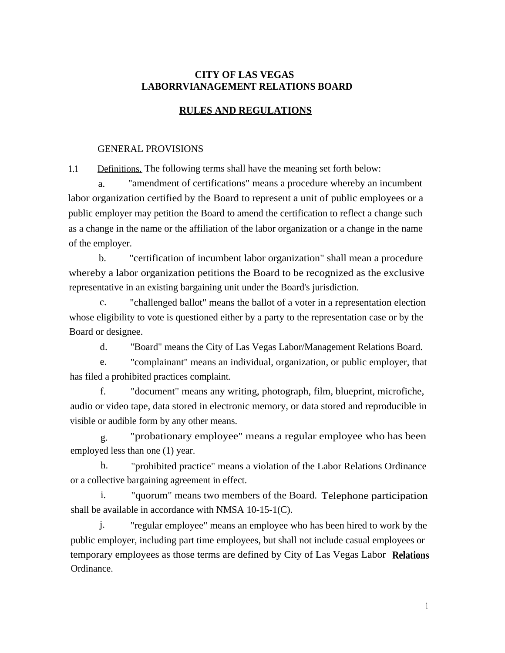### **CITY OF LAS VEGAS LABORRVIANAGEMENT RELATIONS BOARD**

### **RULES AND REGULATIONS**

#### GENERAL PROVISIONS

1.1 Definitions. The following terms shall have the meaning set forth below:

a. "amendment of certifications" means a procedure whereby an incumbent labor organization certified by the Board to represent a unit of public employees or a public employer may petition the Board to amend the certification to reflect a change such as a change in the name or the affiliation of the labor organization or a change in the name of the employer.

b. "certification of incumbent labor organization" shall mean a procedure whereby a labor organization petitions the Board to be recognized as the exclusive representative in an existing bargaining unit under the Board's jurisdiction.

c. "challenged ballot" means the ballot of a voter in a representation election whose eligibility to vote is questioned either by a party to the representation case or by the Board or designee.

d. "Board" means the City of Las Vegas Labor/Management Relations Board.

e. "complainant" means an individual, organization, or public employer, that has filed a prohibited practices complaint.

f. "document" means any writing, photograph, film, blueprint, microfiche, audio or video tape, data stored in electronic memory, or data stored and reproducible in visible or audible form by any other means.

g. "probationary employee" means a regular employee who has been employed less than one (1) year.

h. "prohibited practice" means a violation of the Labor Relations Ordinance or a collective bargaining agreement in effect.

i. "quorum" means two members of the Board. Telephone participation shall be available in accordance with NMSA 10-15-1(C).

j. "regular employee" means an employee who has been hired to work by the public employer, including part time employees, but shall not include casual employees or temporary employees as those terms are defined by City of Las Vegas Labor **Relations**  Ordinance.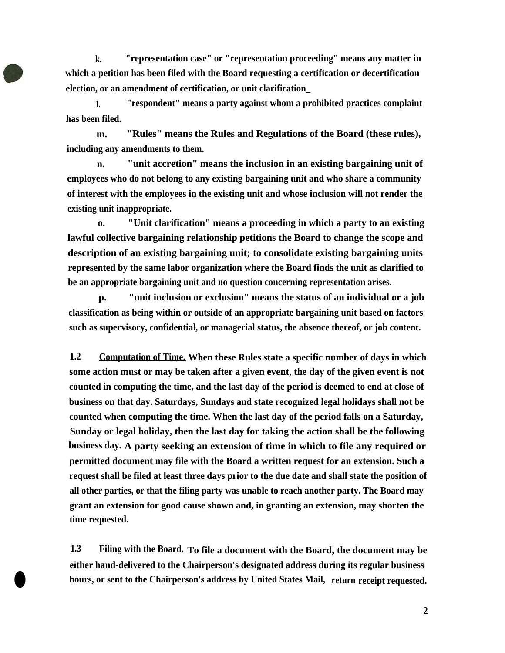**k. "representation case" or "representation proceeding" means any matter in which a petition has been filed with the Board requesting a certification or decertification election, or an amendment of certification, or unit clarification\_** 

**1. "respondent" means a party against whom a prohibited practices complaint has been filed.** 

**m. "Rules" means the Rules and Regulations of the Board (these rules), including any amendments to them.** 

**n. "unit accretion" means the inclusion in an existing bargaining unit of employees who do not belong to any existing bargaining unit and who share a community of interest with the employees in the existing unit and whose inclusion will not render the existing unit inappropriate.** 

**o. "Unit clarification" means a proceeding in which a party to an existing lawful collective bargaining relationship petitions the Board to change the scope and description of an existing bargaining unit; to consolidate existing bargaining units represented by the same labor organization where the Board finds the unit as clarified to be an appropriate bargaining unit and no question concerning representation arises.** 

**p. "unit inclusion or exclusion" means the status of an individual or a job classification as being within or outside of an appropriate bargaining unit based on factors such as supervisory, confidential, or managerial status, the absence thereof, or job content.** 

**1.2 Computation of Time.When these Rules state a specific number of days in which some action must or may be taken after a given event, the day of the given event is not counted in computing the time, and the last day of the period is deemed to end at close of business on that day. Saturdays, Sundays and state recognized legal holidays shall not be counted when computing the time. When the last day of the period falls on a Saturday, Sunday or legal holiday, then the last day for taking the action shall be the following business day.A party seeking an extension of time in which to file any required or permitted document may file with the Board a written request for an extension. Such a request shall be filed at least three days prior to the due date and shall state the position of all other parties, or that the filing party was unable to reach another party. The Board may grant an extension for good cause shown and, in granting an extension, may shorten the time requested.** 

**1.3 Filing with the Board. To file a document with the Board, the document may be either hand-delivered to the Chairperson's designated address during its regular business hours, or sent to the Chairperson's address by United States Mail, return receipt requested.** 

 $\bullet$ 

**2**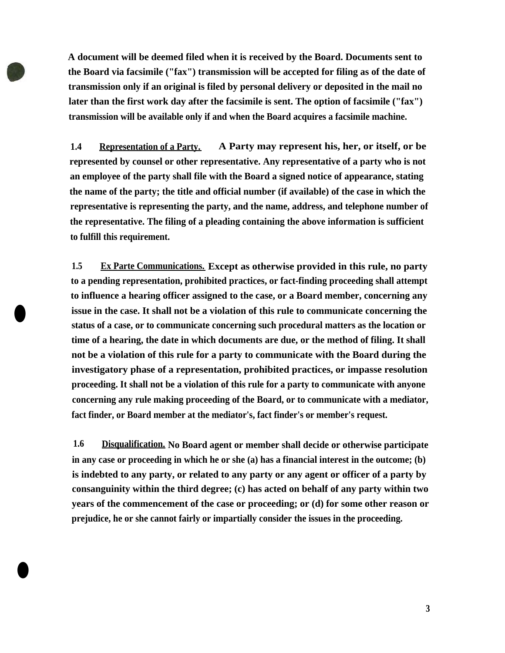**A document will be deemed filed when it is received by the Board. Documents sent to the Board via facsimile ("fax") transmission will be accepted for filing as of the date of transmission only if an original is filed by personal delivery or deposited in the mail no later than the first work day after the facsimile is sent. The option of facsimile ("fax") transmission will be available only if and when the Board acquires a facsimile machine.** 

**1.4 Representation of a Party. A Party may represent his, her, or itself, or be represented by counsel or other representative. Any representative of a party who is not an employee of the party shall file with the Board a signed notice of appearance, stating the name of the party; the title and official number (if available) of the case in which the representative is representing the party, and the name, address, and telephone number of the representative. The filing of a pleading containing the above information is sufficient to fulfill this requirement.** 

**1.5 Ex Parte Communications. Except as otherwise provided in this rule, no party to a pending representation, prohibited practices, or fact-finding proceeding shall attempt to influence a hearing officer assigned to the case, or a Board member, concerning any issue in the case. It shall not be a violation of this rule to communicate concerning the status of a case, or to communicate concerning such procedural matters as the location or time of a hearing, the date in which documents are due, or the method of filing. It shall not be a violation of this rule for a party to communicate with the Board during the investigatory phase of a representation, prohibited practices, or impasse resolution proceeding. It shall not be a violation of this rule for a party to communicate with anyone concerning any rule making proceeding of the Board, or to communicate with a mediator, fact finder, or Board member at the mediator's, fact finder's or member's request.** 

•

•

**1.6 Disqualification. No Board agent or member shall decide or otherwise participate in any case or proceeding in which he or she (a) has a financial interest in the outcome; (b) is indebted to any party, or related to any party or any agent or officer of a party by consanguinity within the third degree; (c) has acted on behalf of any party within two years of the commencement of the case or proceeding; or (d) for some other reason or prejudice, he or she cannot fairly or impartially consider the issues in the proceeding.** 

**3**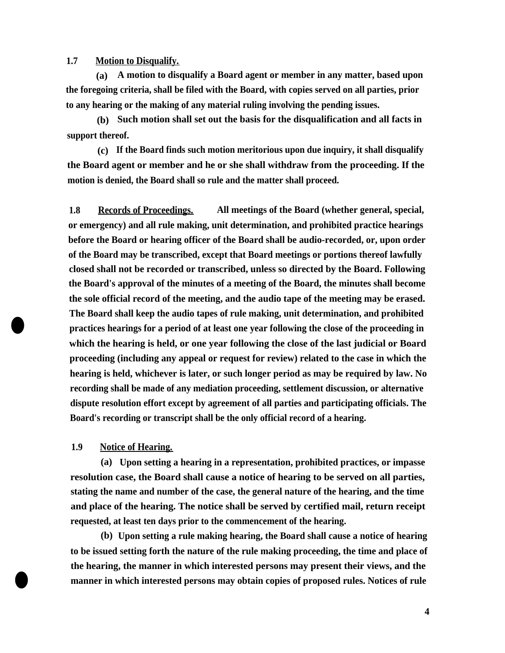**1.7 Motion to Disqualify.** 

**(a) A motion to disqualify a Board agent or member in any matter, based upon the foregoing criteria, shall be filed with the Board, with copies served on all parties, prior to any hearing or the making of any material ruling involving the pending issues.** 

**(b) Such motion shall set out the basis for the disqualification and all facts in support thereof.** 

**(c) If the Board finds such motion meritorious upon due inquiry, it shall disqualify the Board agent or member and he or she shall withdraw from the proceeding. If the motion is denied, the Board shall so rule and the matter shall proceed.** 

**1.8 Records of Proceedings. All meetings of the Board (whether general, special, or emergency) and all rule making, unit determination, and prohibited practice hearings before the Board or hearing officer of the Board shall be audio-recorded, or, upon order of the Board may be transcribed, except that Board meetings or portions thereof lawfully closed shall not be recorded or transcribed, unless so directed by the Board. Following the Board's approval of the minutes of a meeting of the Board, the minutes shall become the sole official record of the meeting, and the audio tape of the meeting may be erased. The Board shall keep the audio tapes of rule making, unit determination, and prohibited practices hearings for a period of at least one year following the close of the proceeding in which the hearing is held, or one year following the close of the last judicial or Board proceeding (including any appeal or request for review) related to the case in which the hearing is held, whichever is later, or such longer period as may be required by law. No recording shall be made of any mediation proceeding, settlement discussion, or alternative dispute resolution effort except by agreement of all parties and participating officials. The Board's recording or transcript shall be the only official record of a hearing.** 

**1.9 Notice of Hearing.** 

•

•

**(a) Upon setting a hearing in a representation, prohibited practices, or impasse resolution case, the Board shall cause a notice of hearing to be served on all parties, stating the name and number of the case, the general nature of the hearing, and the time and place of the hearing. The notice shall be served by certified mail, return receipt requested, at least ten days prior to the commencement of the hearing.** 

**(b) Upon setting a rule making hearing, the Board shall cause a notice of hearing to be issued setting forth the nature of the rule making proceeding, the time and place of the hearing, the manner in which interested persons may present their views, and the manner in which interested persons may obtain copies of proposed rules. Notices of rule** 

**4**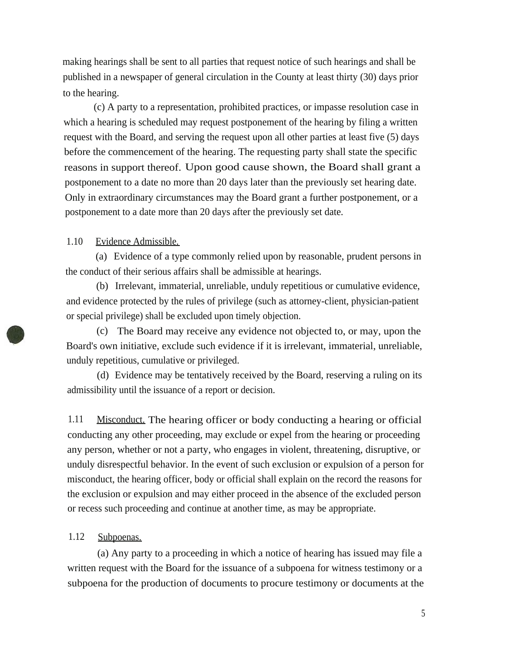making hearings shall be sent to all parties that request notice of such hearings and shall be published in a newspaper of general circulation in the County at least thirty (30) days prior to the hearing.

(c) A party to a representation, prohibited practices, or impasse resolution case in which a hearing is scheduled may request postponement of the hearing by filing a written request with the Board, and serving the request upon all other parties at least five (5) days before the commencement of the hearing. The requesting party shall state the specific reasons in support thereof. Upon good cause shown, the Board shall grant a postponement to a date no more than 20 days later than the previously set hearing date. Only in extraordinary circumstances may the Board grant a further postponement, or a postponement to a date more than 20 days after the previously set date.

#### 1.10 Evidence Admissible.

(a) Evidence of a type commonly relied upon by reasonable, prudent persons in the conduct of their serious affairs shall be admissible at hearings.

(b) Irrelevant, immaterial, unreliable, unduly repetitious or cumulative evidence, and evidence protected by the rules of privilege (such as attorney-client, physician-patient or special privilege) shall be excluded upon timely objection.

(c) The Board may receive any evidence not objected to, or may, upon the Board's own initiative, exclude such evidence if it is irrelevant, immaterial, unreliable, unduly repetitious, cumulative or privileged.

(d) Evidence may be tentatively received by the Board, reserving a ruling on its admissibility until the issuance of a report or decision.

1.11 Misconduct. The hearing officer or body conducting a hearing or official conducting any other proceeding, may exclude or expel from the hearing or proceeding any person, whether or not a party, who engages in violent, threatening, disruptive, or unduly disrespectful behavior. In the event of such exclusion or expulsion of a person for misconduct, the hearing officer, body or official shall explain on the record the reasons for the exclusion or expulsion and may either proceed in the absence of the excluded person or recess such proceeding and continue at another time, as may be appropriate.

#### 1.12 Subpoenas.

(a) Any party to a proceeding in which a notice of hearing has issued may file a written request with the Board for the issuance of a subpoena for witness testimony or a subpoena for the production of documents to procure testimony or documents at the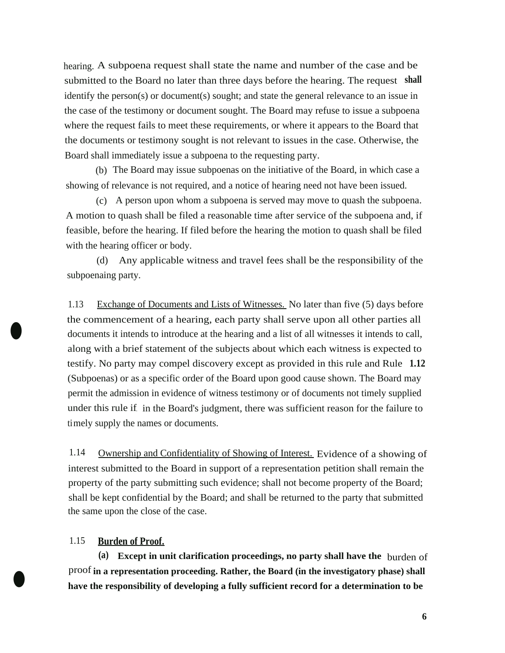hearing. A subpoena request shall state the name and number of the case and be submitted to the Board no later than three days before the hearing. The request **shall**  identify the person(s) or document(s) sought; and state the general relevance to an issue in the case of the testimony or document sought. The Board may refuse to issue a subpoena where the request fails to meet these requirements, or where it appears to the Board that the documents or testimony sought is not relevant to issues in the case. Otherwise, the Board shall immediately issue a subpoena to the requesting party.

(b) The Board may issue subpoenas on the initiative of the Board, in which case a showing of relevance is not required, and a notice of hearing need not have been issued.

(c) A person upon whom a subpoena is served may move to quash the subpoena. A motion to quash shall be filed a reasonable time after service of the subpoena and, if feasible, before the hearing. If filed before the hearing the motion to quash shall be filed with the hearing officer or body.

(d) Any applicable witness and travel fees shall be the responsibility of the subpoenaing party.

1.13 Exchange of Documents and Lists of Witnesses. No later than five (5) days before the commencement of a hearing, each party shall serve upon all other parties all documents it intends to introduce at the hearing and a list of all witnesses it intends to call, along with a brief statement of the subjects about which each witness is expected to testify. No party may compel discovery except as provided in this rule and Rule **1.12**  (Subpoenas) or as a specific order of the Board upon good cause shown. The Board may permit the admission in evidence of witness testimony or of documents not timely supplied under this rule if, in the Board's judgment, there was sufficient reason for the failure to timely supply the names or documents.

1.14 Ownership and Confidentiality of Showing of Interest. Evidence of a showing of interest submitted to the Board in support of a representation petition shall remain the property of the party submitting such evidence; shall not become property of the Board; shall be kept confidential by the Board; and shall be returned to the party that submitted the same upon the close of the case.

### 1.15 **Burden of Proof.**

•

 $\bullet$ 

**(a) Except in unit clarification proceedings, no party shall have the** burden of proof **in a representation proceeding. Rather, the Board (in the investigatory phase) shall have the responsibility of developing a fully sufficient record for a determination to be**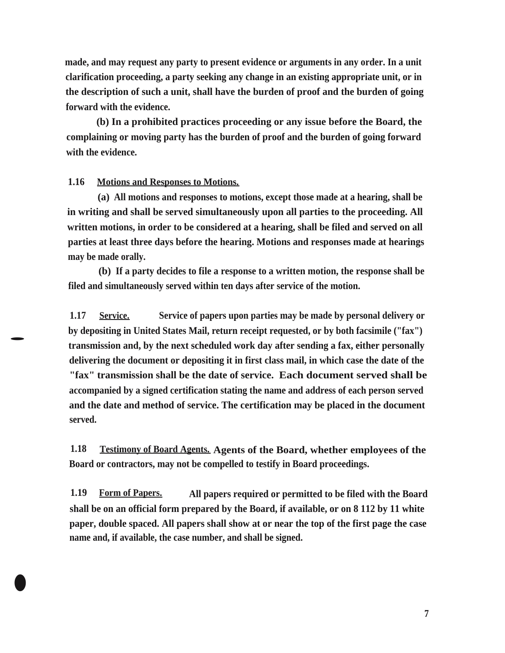**made, and may request any party to present evidence or arguments in any order. In a unit clarification proceeding, a party seeking any change in an existing appropriate unit, or in the description of such a unit, shall have the burden of proof and the burden of going forward with the evidence.** 

**(b) In a prohibited practices proceeding or any issue before the Board, the complaining or moving party has the burden of proof and the burden of going forward with the evidence.** 

### **1.16 Motions and Responses to Motions.**

**•** 

•

**(a) All motions and responses to motions, except those made at a hearing, shall be in writing and shall be served simultaneously upon all parties to the proceeding. All written motions, in order to be considered at a hearing, shall be filed and served on all parties at least three days before the hearing. Motions and responses made at hearings may be made orally.** 

**(b) If a party decides to file a response to a written motion, the response shall be filed and simultaneously served within ten days after service of the motion.** 

**1.17 Service. Service of papers upon parties may be made by personal delivery or by depositing in United States Mail, return receipt requested, or by both facsimile ("fax") transmission and, by the next scheduled work day after sending a fax, either personally delivering the document or depositing it in first class mail, in which case the date of the "fax" transmission shall be the date of service. Each document served shall be accompanied by a signed certification stating the name and address of each person served and the date and method of service. The certification may be placed in the document served.** 

**1.18 Testimony of Board Agents. Agents of the Board, whether employees of the Board or contractors, may not be compelled to testify in Board proceedings.** 

**1.19 Form of Papers. All papers required or permitted to be filed with the Board shall be on an official form prepared by the Board, if available, or on 8 112 by 11 white paper, double spaced. All papers shall show at or near the top of the first page the case name and, if available, the case number, and shall be signed.**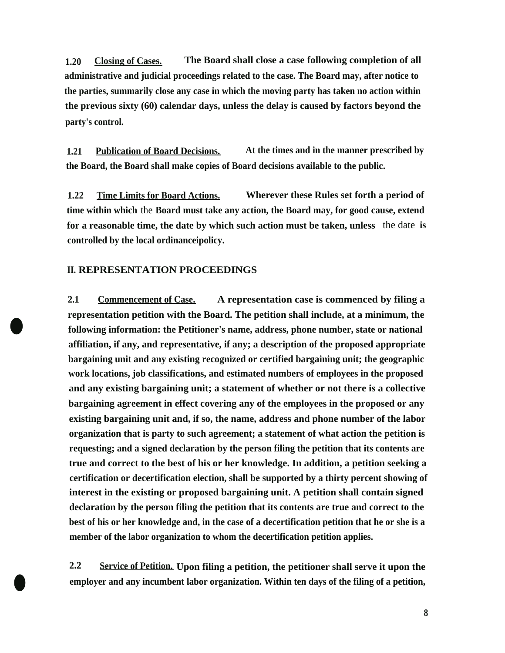**1.20 Closing of Cases. The Board shall close a case following completion of all administrative and judicial proceedings related to the case. The Board may, after notice to the parties, summarily close any case in which the moving party has taken no action within the previous sixty (60) calendar days, unless the delay is caused by factors beyond the party's control.** 

**1.21 Publication of Board Decisions. At the times and in the manner prescribed by the Board, the Board shall make copies of Board decisions available to the public.** 

**1.22 Time Limits for Board Actions. Wherever these Rules set forth a period of time within which** the **Board must take any action, the Board may, for good cause, extend for a reasonable time, the date by which such action must be taken, unless** the date **is controlled by the local ordinanceipolicy.** 

### **II.REPRESENTATION PROCEEDINGS**

•

•

**2.1 Commencement of Case. A representation case is commenced by filing a representation petition with the Board. The petition shall include, at a minimum, the following information: the Petitioner's name, address, phone number, state or national affiliation, if any, and representative, if any; a description of the proposed appropriate bargaining unit and any existing recognized or certified bargaining unit; the geographic work locations, job classifications, and estimated numbers of employees in the proposed and any existing bargaining unit; a statement of whether or not there is a collective bargaining agreement in effect covering any of the employees in the proposed or any existing bargaining unit and, if so, the name, address and phone number of the labor organization that is party to such agreement; a statement of what action the petition is requesting; and a signed declaration by the person filing the petition that its contents are true and correct to the best of his or her knowledge. In addition, a petition seeking a certification or decertification election, shall be supported by a thirty percent showing of interest in the existing or proposed bargaining unit. A petition shall contain signed declaration by the person filing the petition that its contents are true and correct to the best of his or her knowledge and, in the case of a decertification petition that he or she is a member of the labor organization to whom the decertification petition applies.** 

**2.2 Service of Petition. Upon filing a petition, the petitioner shall serve it upon the employer and any incumbent labor organization. Within ten days of the filing of a petition,**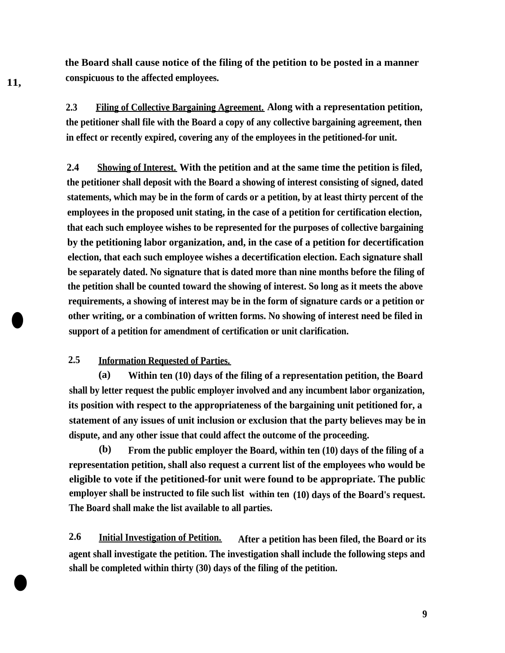**the Board shall cause notice of the filing of the petition to be posted in a manner 11, conspicuous to the affected employees.** 

> **2.3 Filing of Collective Bargaining Agreement. Along with a representation petition, the petitioner shall file with the Board a copy of any collective bargaining agreement, then in effect or recently expired, covering any of the employees in the petitioned-for unit.**

> **2.4 Showing of Interest. With the petition and at the same time the petition is filed, the petitioner shall deposit with the Board a showing of interest consisting of signed, dated statements, which may be in the form of cards or a petition, by at least thirty percent of the employees in the proposed unit stating, in the case of a petition for certification election, that each such employee wishes to be represented for the purposes of collective bargaining by the petitioning labor organization, and, in the case of a petition for decertification election, that each such employee wishes a decertification election. Each signature shall be separately dated. No signature that is dated more than nine months before the filing of the petition shall be counted toward the showing of interest. So long as it meets the above requirements, a showing of interest may be in the form of signature cards or a petition or other writing, or a combination of written forms. No showing of interest need be filed in** • **support of a petition for amendment of certification or unit clarification.**

# **2.5 Information Requested of Parties.**

**(a) Within ten (10) days of the filing of a representation petition, the Board shall by letter request the public employer involved and any incumbent labor organization, its position with respect to the appropriateness of the bargaining unit petitioned for, a statement of any issues of unit inclusion or exclusion that the party believes may be in dispute, and any other issue that could affect the outcome of the proceeding.** 

**(b) From the public employer the Board, within ten (10) days of the filing of a representation petition, shall also request a current list of the employees who would be eligible to vote if the petitioned-for unit were found to be appropriate. The public employer shall be instructed to file such list within ten (10) days of the Board's request. The Board shall make the list available to all parties.** 

**2.6 Initial Investigation of Petition. After a petition has been filed, the Board or its agent shall investigate the petition. The investigation shall include the following steps and shall be completed within thirty (30) days of the filing of the petition.** 

•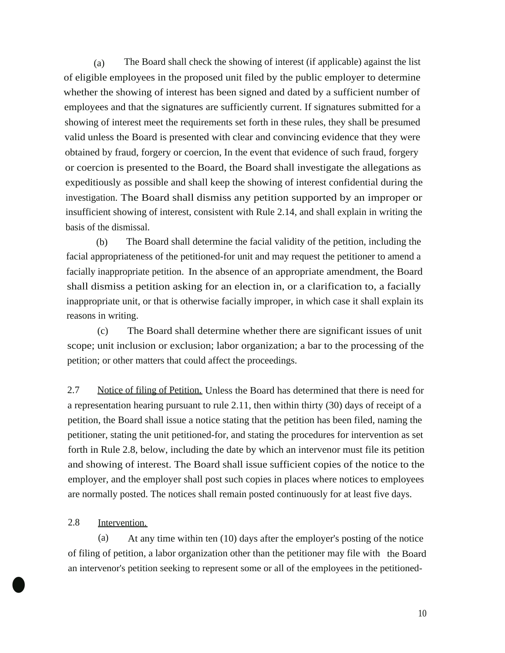(a) The Board shall check the showing of interest (if applicable) against the list of eligible employees in the proposed unit filed by the public employer to determine whether the showing of interest has been signed and dated by a sufficient number of employees and that the signatures are sufficiently current. If signatures submitted for a showing of interest meet the requirements set forth in these rules, they shall be presumed valid unless the Board is presented with clear and convincing evidence that they were obtained by fraud, forgery or coercion, In the event that evidence of such fraud, forgery or coercion is presented to the Board, the Board shall investigate the allegations as expeditiously as possible and shall keep the showing of interest confidential during the investigation.The Board shall dismiss any petition supported by an improper or insufficient showing of interest, consistent with Rule 2.14, and shall explain in writing the basis of the dismissal.

(b) The Board shall determine the facial validity of the petition, including the facial appropriateness of the petitioned-for unit and may request the petitioner to amend a facially inappropriate petition. In the absence of an appropriate amendment, the Board shall dismiss a petition asking for an election in, or a clarification to, a facially inappropriate unit, or that is otherwise facially improper, in which case it shall explain its reasons in writing.

(c) The Board shall determine whether there are significant issues of unit scope; unit inclusion or exclusion; labor organization; a bar to the processing of the petition; or other matters that could affect the proceedings.

2.7 Notice of filing of Petition. Unless the Board has determined that there is need for a representation hearing pursuant to rule 2.11, then within thirty (30) days of receipt of a petition, the Board shall issue a notice stating that the petition has been filed, naming the petitioner, stating the unit petitioned-for, and stating the procedures for intervention as set forth in Rule 2.8, below, including the date by which an intervenor must file its petition and showing of interest. The Board shall issue sufficient copies of the notice to the employer, and the employer shall post such copies in places where notices to employees are normally posted. The notices shall remain posted continuously for at least five days.

# 2.8 Intervention.

•

(a) At any time within ten (10) days after the employer's posting of the notice of filing of petition, a labor organization other than the petitioner may file with the Board an intervenor's petition seeking to represent some or all of the employees in the petitioned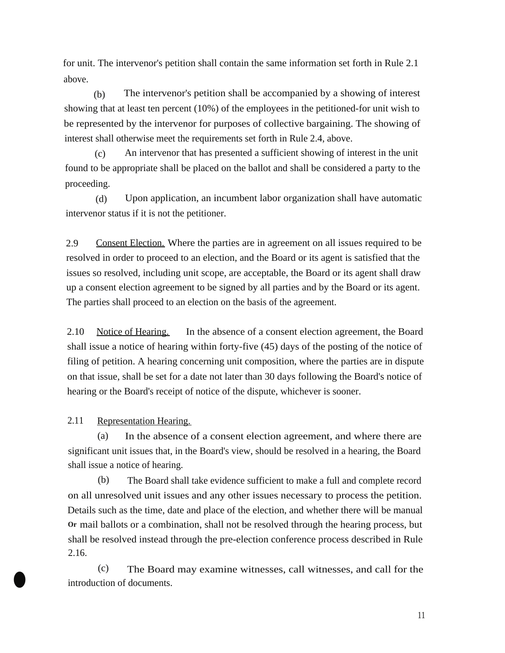for unit. The intervenor's petition shall contain the same information set forth in Rule 2.1 above.

(b) The intervenor's petition shall be accompanied by a showing of interest showing that at least ten percent (10%) of the employees in the petitioned-for unit wish to be represented by the intervenor for purposes of collective bargaining. The showing of interest shall otherwise meet the requirements set forth in Rule 2.4, above.

(c) An intervenor that has presented a sufficient showing of interest in the unit found to be appropriate shall be placed on the ballot and shall be considered a party to the proceeding.

(d) Upon application, an incumbent labor organization shall have automatic intervenor status if it is not the petitioner.

2.9 Consent Election. Where the parties are in agreement on all issues required to be resolved in order to proceed to an election, and the Board or its agent is satisfied that the issues so resolved, including unit scope, are acceptable, the Board or its agent shall draw up a consent election agreement to be signed by all parties and by the Board or its agent. The parties shall proceed to an election on the basis of the agreement.

2.10 Notice of Hearing. In the absence of a consent election agreement, the Board shall issue a notice of hearing within forty-five (45) days of the posting of the notice of filing of petition. A hearing concerning unit composition, where the parties are in dispute on that issue, shall be set for a date not later than 30 days following the Board's notice of hearing or the Board's receipt of notice of the dispute, whichever is sooner.

2.11 Representation Hearing.

(a) In the absence of a consent election agreement, and where there are significant unit issues that, in the Board's view, should be resolved in a hearing, the Board shall issue a notice of hearing.

(b) The Board shall take evidence sufficient to make a full and complete record on all unresolved unit issues and any other issues necessary to process the petition. Details such as the time, date and place of the election, and whether there will be manual **Or** mail ballots or a combination, shall not be resolved through the hearing process, but shall be resolved instead through the pre-election conference process described in Rule 2.16.

(c) The Board may examine witnesses, call witnesses, and call for the introduction of documents.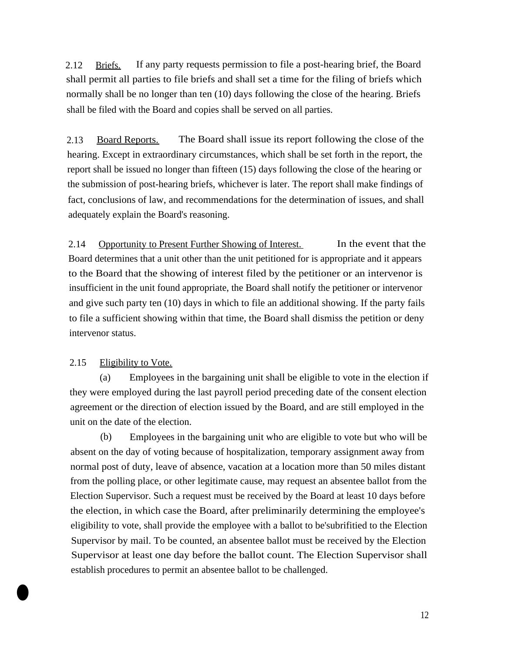2.12 Briefs. If any party requests permission to file a post-hearing brief, the Board shall permit all parties to file briefs and shall set a time for the filing of briefs which normally shall be no longer than ten (10) days following the close of the hearing. Briefs shall be filed with the Board and copies shall be served on all parties.

2.13 Board Reports. The Board shall issue its report following the close of the hearing. Except in extraordinary circumstances, which shall be set forth in the report, the report shall be issued no longer than fifteen (15) days following the close of the hearing or the submission of post-hearing briefs, whichever is later. The report shall make findings of fact, conclusions of law, and recommendations for the determination of issues, and shall adequately explain the Board's reasoning.

2.14 Opportunity to Present Further Showing of Interest. In the event that the Board determines that a unit other than the unit petitioned for is appropriate and it appears to the Board that the showing of interest filed by the petitioner or an intervenor is insufficient in the unit found appropriate, the Board shall notify the petitioner or intervenor and give such party ten (10) days in which to file an additional showing. If the party fails to file a sufficient showing within that time, the Board shall dismiss the petition or deny intervenor status.

### 2.15 Eligibility to Vote.

**•** 

(a) Employees in the bargaining unit shall be eligible to vote in the election if they were employed during the last payroll period preceding date of the consent election agreement or the direction of election issued by the Board, and are still employed in the unit on the date of the election.

(b) Employees in the bargaining unit who are eligible to vote but who will be absent on the day of voting because of hospitalization, temporary assignment away from normal post of duty, leave of absence, vacation at a location more than 50 miles distant from the polling place, or other legitimate cause, may request an absentee ballot from the Election Supervisor. Such a request must be received by the Board at least 10 days before the election, in which case the Board, after preliminarily determining the employee's eligibility to vote, shall provide the employee with a ballot to be'subrifitied to the Election Supervisor by mail. To be counted, an absentee ballot must be received by the Election Supervisor at least one day before the ballot count. The Election Supervisor shall establish procedures to permit an absentee ballot to be challenged.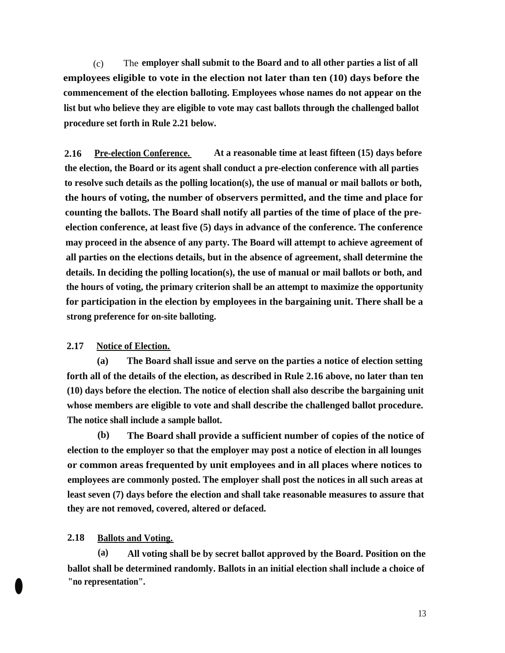(c) The **employer shall submit to the Board and to all other parties a list of all employees eligible to vote in the election not later than ten (10) days before the commencement of the election balloting. Employees whose names do not appear on the list but who believe they are eligible to vote may cast ballots through the challenged ballot procedure set forth in Rule 2.21 below.** 

**2.16 Pre-election Conference. At a reasonable time at least fifteen (15) days before the election, the Board or its agent shall conduct a pre-election conference with all parties to resolve such details as the polling location(s), the use of manual or mail ballots or both, the hours of voting, the number of observers permitted, and the time and place for counting the ballots. The Board shall notify all parties of the time of place of the preelection conference, at least five (5) days in advance of the conference. The conference may proceed in the absence of any party. The Board will attempt to achieve agreement of all parties on the elections details, but in the absence of agreement, shall determine the details. In deciding the polling location(s), the use of manual or mail ballots or both, and the hours of voting, the primary criterion shall be an attempt to maximize the opportunity for participation in the election by employees in the bargaining unit. There shall be a strong preference for on-site balloting.** 

### **2.17 Notice of Election.**

**(a) The Board shall issue and serve on the parties a notice of election setting forth all of the details of the election, as described in Rule 2.16 above, no later than ten (10) days before the election. The notice of election shall also describe the bargaining unit whose members are eligible to vote and shall describe the challenged ballot procedure. The notice shall include a sample ballot.** 

**(b) The Board shall provide a sufficient number of copies of the notice of election to the employer so that the employer may post a notice of election in all lounges or common areas frequented by unit employees and in all places where notices to employees are commonly posted. The employer shall post the notices in all such areas at least seven (7) days before the election and shall take reasonable measures to assure that they are not removed, covered, altered or defaced.** 

#### **2.18 Ballots and Voting.**

**(a) All voting shall be by secret ballot approved by the Board. Position on the ballot shall be determined randomly. Ballots in an initial election shall include a choice of**  • **"no representation".**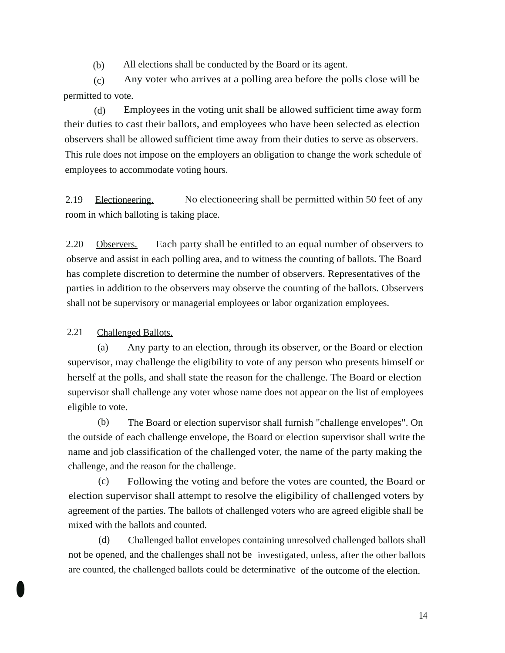(b) All elections shall be conducted by the Board or its agent.

(c) Any voter who arrives at a polling area before the polls close will be permitted to vote.

(d) Employees in the voting unit shall be allowed sufficient time away form their duties to cast their ballots, and employees who have been selected as election observers shall be allowed sufficient time away from their duties to serve as observers. This rule does not impose on the employers an obligation to change the work schedule of employees to accommodate voting hours.

2.19 Electioneering. No electioneering shall be permitted within 50 feet of any room in which balloting is taking place.

2.20 Observers. Each party shall be entitled to an equal number of observers to observe and assist in each polling area, and to witness the counting of ballots. The Board has complete discretion to determine the number of observers. Representatives of the parties in addition to the observers may observe the counting of the ballots. Observers shall not be supervisory or managerial employees or labor organization employees.

2.21 Challenged Ballots.

•

(a) Any party to an election, through its observer, or the Board or election supervisor, may challenge the eligibility to vote of any person who presents himself or herself at the polls, and shall state the reason for the challenge. The Board or election supervisor shall challenge any voter whose name does not appear on the list of employees eligible to vote.

(b) The Board or election supervisor shall furnish "challenge envelopes". On the outside of each challenge envelope, the Board or election supervisor shall write the name and job classification of the challenged voter, the name of the party making the challenge, and the reason for the challenge.

(c) Following the voting and before the votes are counted, the Board or election supervisor shall attempt to resolve the eligibility of challenged voters by agreement of the parties. The ballots of challenged voters who are agreed eligible shall be mixed with the ballots and counted.

(d) Challenged ballot envelopes containing unresolved challenged ballots shall not be opened, and the challenges shall not be investigated, unless, after the other ballots are counted, the challenged ballots could be determinative of the outcome of the election.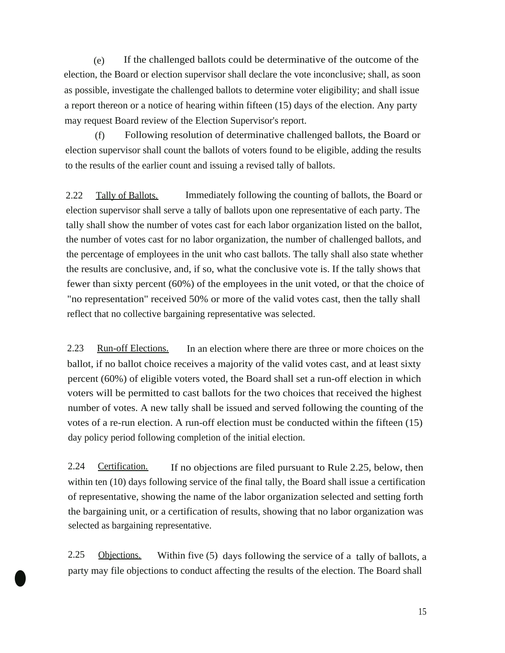(e) If the challenged ballots could be determinative of the outcome of the election, the Board or election supervisor shall declare the vote inconclusive; shall, as soon as possible, investigate the challenged ballots to determine voter eligibility; and shall issue a report thereon or a notice of hearing within fifteen (15) days of the election. Any party may request Board review of the Election Supervisor's report.

(f) Following resolution of determinative challenged ballots, the Board or election supervisor shall count the ballots of voters found to be eligible, adding the results to the results of the earlier count and issuing a revised tally of ballots.

2.22 Tally of Ballots. Immediately following the counting of ballots, the Board or election supervisor shall serve a tally of ballots upon one representative of each party. The tally shall show the number of votes cast for each labor organization listed on the ballot, the number of votes cast for no labor organization, the number of challenged ballots, and the percentage of employees in the unit who cast ballots. The tally shall also state whether the results are conclusive, and, if so, what the conclusive vote is. If the tally shows that fewer than sixty percent (60%) of the employees in the unit voted, or that the choice of "no representation" received 50% or more of the valid votes cast, then the tally shall reflect that no collective bargaining representative was selected.

2.23 Run-off Elections. In an election where there are three or more choices on the ballot, if no ballot choice receives a majority of the valid votes cast, and at least sixty percent (60%) of eligible voters voted, the Board shall set a run-off election in which voters will be permitted to cast ballots for the two choices that received the highest number of votes. A new tally shall be issued and served following the counting of the votes of a re-run election. A run-off election must be conducted within the fifteen (15) day policy period following completion of the initial election.

2.24 Certification. If no objections are filed pursuant to Rule 2.25, below, then within ten (10) days following service of the final tally, the Board shall issue a certification of representative, showing the name of the labor organization selected and setting forth the bargaining unit, or a certification of results, showing that no labor organization was selected as bargaining representative.

2.25 Objections. Within five (5) days following the service of a tally of ballots, a party may file objections to conduct affecting the results of the election. The Board shall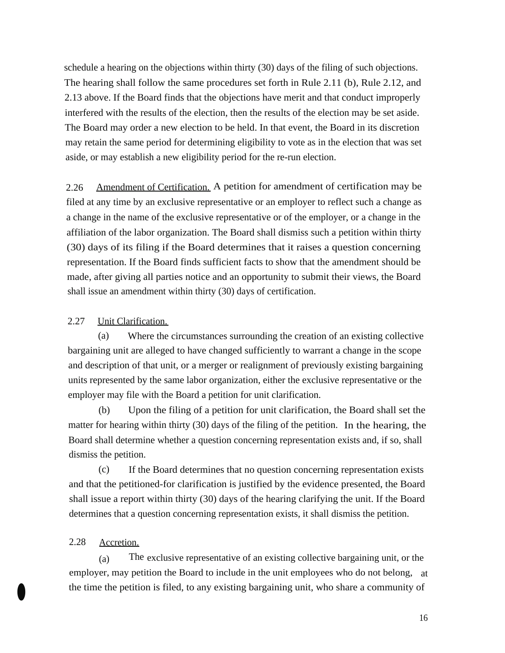schedule a hearing on the objections within thirty (30) days of the filing of such objections. The hearing shall follow the same procedures set forth in Rule 2.11 (b), Rule 2.12, and 2.13 above. If the Board finds that the objections have merit and that conduct improperly interfered with the results of the election, then the results of the election may be set aside. The Board may order a new election to be held. In that event, the Board in its discretion may retain the same period for determining eligibility to vote as in the election that was set aside, or may establish a new eligibility period for the re-run election.

2.26 Amendment of Certification. A petition for amendment of certification may be filed at any time by an exclusive representative or an employer to reflect such a change as a change in the name of the exclusive representative or of the employer, or a change in the affiliation of the labor organization. The Board shall dismiss such a petition within thirty (30) days of its filing if the Board determines that it raises a question concerning representation. If the Board finds sufficient facts to show that the amendment should be made, after giving all parties notice and an opportunity to submit their views, the Board shall issue an amendment within thirty (30) days of certification.

### 2.27 Unit Clarification.

(a) Where the circumstances surrounding the creation of an existing collective bargaining unit are alleged to have changed sufficiently to warrant a change in the scope and description of that unit, or a merger or realignment of previously existing bargaining units represented by the same labor organization, either the exclusive representative or the employer may file with the Board a petition for unit clarification.

(b) Upon the filing of a petition for unit clarification, the Board shall set the matter for hearing within thirty (30) days of the filing of the petition. In the hearing, the Board shall determine whether a question concerning representation exists and, if so, shall dismiss the petition.

(c) If the Board determines that no question concerning representation exists and that the petitioned-for clarification is justified by the evidence presented, the Board shall issue a report within thirty (30) days of the hearing clarifying the unit. If the Board determines that a question concerning representation exists, it shall dismiss the petition.

#### 2.28 Accretion.

(a) The exclusive representative of an existing collective bargaining unit, or the employer, may petition the Board to include in the unit employees who do not belong, at • the time the petition is filed, to any existing bargaining unit, who share a community of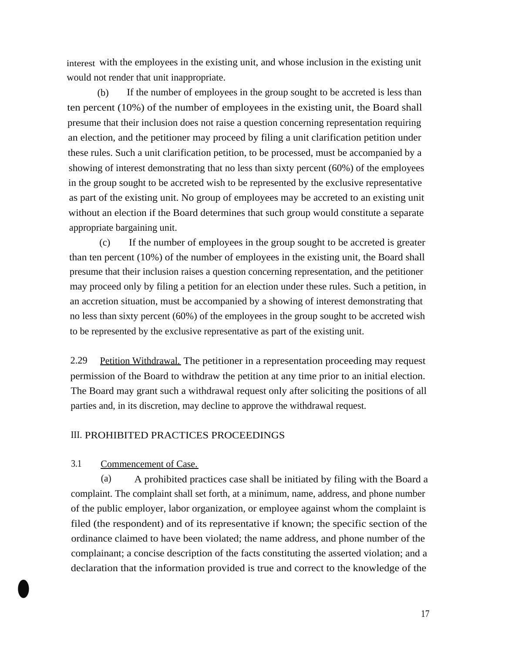interest with the employees in the existing unit, and whose inclusion in the existing unit would not render that unit inappropriate.

(b) If the number of employees in the group sought to be accreted is less than ten percent (10%) of the number of employees in the existing unit, the Board shall presume that their inclusion does not raise a question concerning representation requiring an election, and the petitioner may proceed by filing a unit clarification petition under these rules. Such a unit clarification petition, to be processed, must be accompanied by a showing of interest demonstrating that no less than sixty percent (60%) of the employees in the group sought to be accreted wish to be represented by the exclusive representative as part of the existing unit. No group of employees may be accreted to an existing unit without an election if the Board determines that such group would constitute a separate appropriate bargaining unit.

(c) If the number of employees in the group sought to be accreted is greater than ten percent (10%) of the number of employees in the existing unit, the Board shall presume that their inclusion raises a question concerning representation, and the petitioner may proceed only by filing a petition for an election under these rules. Such a petition, in an accretion situation, must be accompanied by a showing of interest demonstrating that no less than sixty percent (60%) of the employees in the group sought to be accreted wish to be represented by the exclusive representative as part of the existing unit.

2.29 Petition Withdrawal. The petitioner in a representation proceeding may request permission of the Board to withdraw the petition at any time prior to an initial election. The Board may grant such a withdrawal request only after soliciting the positions of all parties and, in its discretion, may decline to approve the withdrawal request.

### III.PROHIBITED PRACTICES PROCEEDINGS

# 3.1 Commencement of Case.

 $\bullet$ 

(a) A prohibited practices case shall be initiated by filing with the Board a complaint. The complaint shall set forth, at a minimum, name, address, and phone number of the public employer, labor organization, or employee against whom the complaint is filed (the respondent) and of its representative if known; the specific section of the ordinance claimed to have been violated; the name address, and phone number of the complainant; a concise description of the facts constituting the asserted violation; and a declaration that the information provided is true and correct to the knowledge of the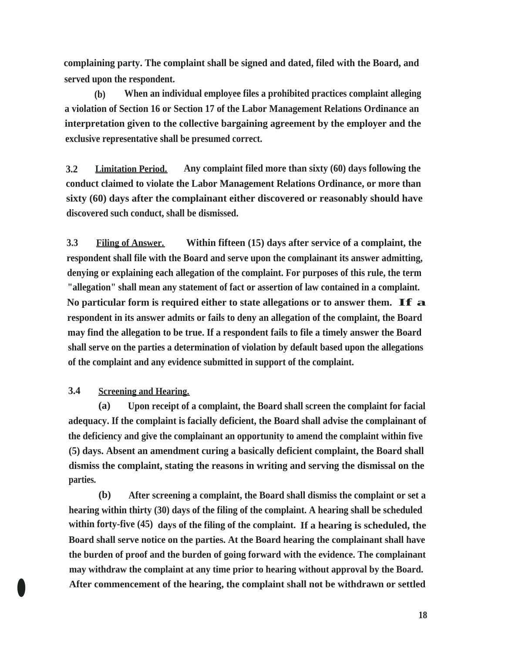**complaining party. The complaint shall be signed and dated, filed with the Board, and served upon the respondent.** 

**(b) When an individual employee files a prohibited practices complaint alleging a violation of Section 16 or Section 17 of the Labor Management Relations Ordinance an interpretation given to the collective bargaining agreement by the employer and the exclusive representative shall be presumed correct.** 

**3.2 Limitation Period. Any complaint filed more than sixty (60) days following the conduct claimed to violate the Labor Management Relations Ordinance, or more than sixty (60) days after the complainant either discovered or reasonably should have discovered such conduct, shall be dismissed.** 

**3.3 Filing of Answer. Within fifteen (15) days after service of a complaint, the respondent shall file with the Board and serve upon the complainant its answer admitting, denying or explaining each allegation of the complaint. For purposes of this rule, the term "allegation" shall mean any statement of fact or assertion of law contained in a complaint. No particular form is required either to state allegations or to answer them. If a respondent in its answer admits or fails to deny an allegation of the complaint, the Board may find the allegation to be true. If a respondent fails to file a timely answer the Board shall serve on the parties a determination of violation by default based upon the allegations of the complaint and any evidence submitted in support of the complaint.** 

# **3.4 Screening and Hearing.**

**(a) Upon receipt of a complaint, the Board shall screen the complaint for facial adequacy. If the complaint is facially deficient, the Board shall advise the complainant of the deficiency and give the complainant an opportunity to amend the complaint within five (5) days. Absent an amendment curing a basically deficient complaint, the Board shall dismiss the complaint, stating the reasons in writing and serving the dismissal on the parties.** 

**(b) After screening a complaint, the Board shall dismiss the complaint or set a hearing within thirty (30) days of the filing of the complaint. A hearing shall be scheduled within forty-five (45) days of the filing of the complaint. If a hearing is scheduled, the Board shall serve notice on the parties. At the Board hearing the complainant shall have the burden of proof and the burden of going forward with the evidence. The complainant may withdraw the complaint at any time prior to hearing without approval by the Board.**  • **After commencement of the hearing, the complaint shall not be withdrawn or settled**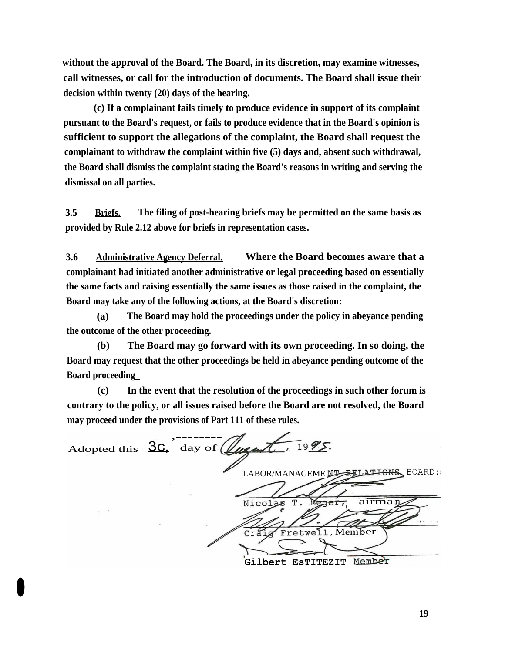**without the approval of the Board. The Board, in its discretion, may examine witnesses, call witnesses, or call for the introduction of documents. The Board shall issue their decision within twenty (20) days of the hearing.** 

**(c) If a complainant fails timely to produce evidence in support of its complaint pursuant to the Board's request, or fails to produce evidence that in the Board's opinion is sufficient to support the allegations of the complaint, the Board shall request the complainant to withdraw the complaint within five (5) days and, absent such withdrawal, the Board shall dismiss the complaint stating the Board's reasons in writing and serving the dismissal on all parties.** 

**3.5 Briefs. The filing of post-hearing briefs may be permitted on the same basis as provided by Rule 2.12 above for briefs in representation cases.** 

**3.6 Administrative Agency Deferral. Where the Board becomes aware that a complainant had initiated another administrative or legal proceeding based on essentially the same facts and raising essentially the same issues as those raised in the complaint, the Board may take any of the following actions, at the Board's discretion:** 

**(a) The Board may hold the proceedings under the policy in abeyance pending the outcome of the other proceeding.** 

**(b) The Board may go forward with its own proceeding. In so doing, the Board may request that the other proceedings be held in abeyance pending outcome of the Board proceeding\_** 

**(c) In the event that the resolution of the proceedings in such other forum is contrary to the policy, or all issues raised before the Board are not resolved, the Board may proceed under the provisions of Part 111 of these rules.** 

,-------- Adopted this  $\overline{3c}$ , day of LABOR/MANAGEME NI RELATIONS BOARD:  $\mathbf T$  airma Nicolas *fir*  Member Fretwell, **Gilbert EsTITEZIT** 

•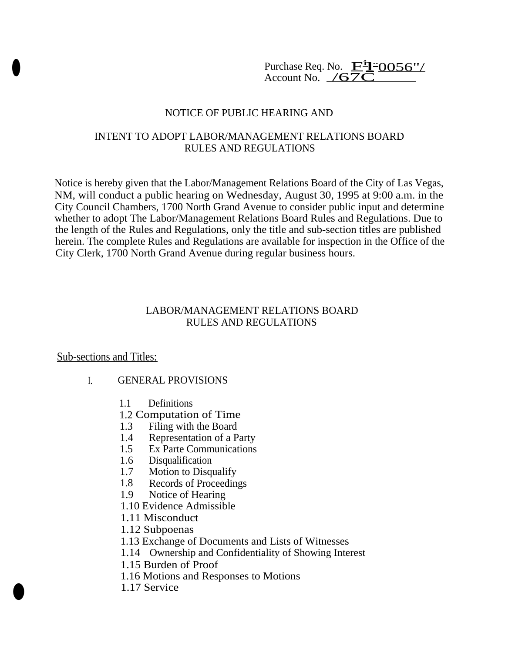Purchase Req. No.  $\mathbf{F}^{\mathbf{i}}$ Purchase Req. No.  $\frac{\mathbf{F}^{\mathbf{i}} - 0056''}{\text{Account No.}}$ 

## NOTICE OF PUBLIC HEARING AND

# INTENT TO ADOPT LABOR/MANAGEMENT RELATIONS BOARD RULES AND REGULATIONS

Notice is hereby given that the Labor/Management Relations Board of the City of Las Vegas, NM, will conduct a public hearing on Wednesday, August 30, 1995 at 9:00 a.m. in the City Council Chambers, 1700 North Grand Avenue to consider public input and determine whether to adopt The Labor/Management Relations Board Rules and Regulations. Due to the length of the Rules and Regulations, only the title and sub-section titles are published herein. The complete Rules and Regulations are available for inspection in the Office of the City Clerk, 1700 North Grand Avenue during regular business hours.

## LABOR/MANAGEMENT RELATIONS BOARD RULES AND REGULATIONS

### Sub-sections and Titles:

### I. GENERAL PROVISIONS

- 1.1 Definitions
- 1.2Computation of Time
- 1.3 Filing with the Board<br>1.4 Representation of a P
- Representation of a Party
- 1.5 Ex Parte Communications
- 1.6 Disqualification
- 1.7 Motion to Disqualify
- 1.8 Records of Proceedings
- 1.9 Notice of Hearing
- 1.10 Evidence Admissible
- 1.11 Misconduct
- 1.12 Subpoenas
- 1.13 Exchange of Documents and Lists of Witnesses
- 1.14 Ownership and Confidentiality of Showing Interest
- 1.15 Burden of Proof
- 1.16 Motions and Responses to Motions
- 1.17 Service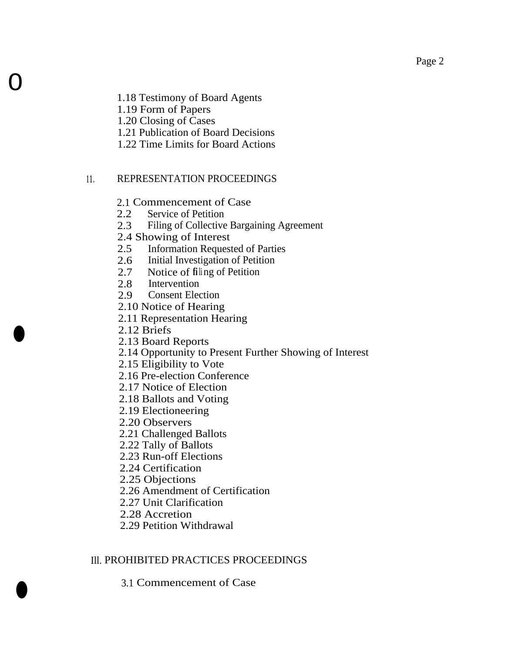1.18 Testimony of Board Agents

1.19 Form of Papers

1.20 Closing of Cases

1.21 Publication of Board Decisions

1.22 Time Limits for Board Actions

# 11. REPRESENTATION PROCEEDINGS

2.1Commencement of Case

- 2.2 Service of Petition
- 2.3 Filing of Collective Bargaining Agreement
- 2.4Showing of Interest
- 2.5 Information Requested of Parties
- 2.6 Initial Investigation of Petition<br>2.7 Notice of filing of Petition
- Notice of filing of Petition
- 2.8 Intervention<br>2.9 Consent Elec
- **Consent Election**
- 2.10 Notice of Hearing
- 2.11 Representation Hearing
- 2.12 Briefs

 $\bullet$ 

 $\bullet$ 

0

- 2.13 Board Reports
- 2.14 Opportunity to Present Further Showing of Interest
- 2.15 Eligibility to Vote
- 2.16 Pre-election Conference
- 2.17 Notice of Election
- 2.18 Ballots and Voting
- 2.19 Electioneering
- 2.20 Observers
- 2.21 Challenged Ballots
- 2.22 Tally of Ballots
- 2.23 Run-off Elections
- 2.24 Certification
- 2.25 Objections
- 2.26 Amendment of Certification
- 2.27 Unit Clarification
- 2.28 Accretion
- 2.29 Petition Withdrawal

# Ill.PROHIBITED PRACTICES PROCEEDINGS

3.1Commencement of Case